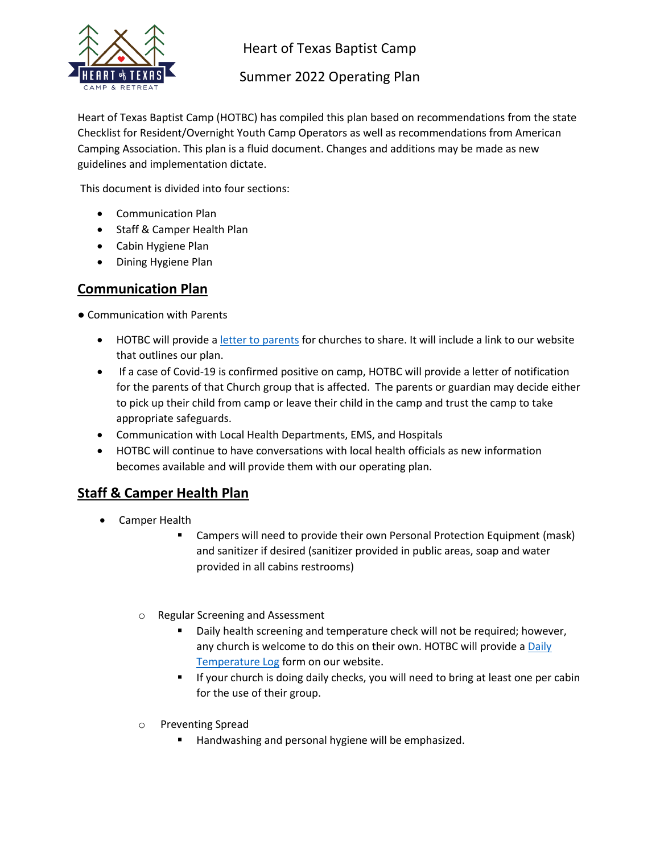

Heart of Texas Baptist Camp

Summer 2022 Operating Plan

Heart of Texas Baptist Camp (HOTBC) has compiled this plan based on recommendations from the state Checklist for Resident/Overnight Youth Camp Operators as well as recommendations from American Camping Association. This plan is a fluid document. Changes and additions may be made as new guidelines and implementation dictate.

This document is divided into four sections:

- Communication Plan
- Staff & Camper Health Plan
- Cabin Hygiene Plan
- Dining Hygiene Plan

### **Communication Plan**

● Communication with Parents

- HOTBC will provide a [letter to parents](https://static.spacecrafted.com/eb304f4763cc42c5836718ac2c602dd4/r/e80f10f8aa914f9497b0aece6ba13e07/1/2022%20Pre-Camp%20Letter%20to%20parents.pdf) for churches to share. It will include a link to our website that outlines our plan.
- If a case of Covid-19 is confirmed positive on camp, HOTBC will provide a letter of notification for the parents of that Church group that is affected. The parents or guardian may decide either to pick up their child from camp or leave their child in the camp and trust the camp to take appropriate safeguards.
- Communication with Local Health Departments, EMS, and Hospitals
- HOTBC will continue to have conversations with local health officials as new information becomes available and will provide them with our operating plan.

## **Staff & Camper Health Plan**

- Camper Health
	- Campers will need to provide their own Personal Protection Equipment (mask) and sanitizer if desired (sanitizer provided in public areas, soap and water provided in all cabins restrooms)
	- o Regular Screening and Assessment
		- Daily health screening and temperature check will not be required; however, any church is welcome to do this on their own. HOTBC will provide a Daily [Temperature Log](https://static.spacecrafted.com/eb304f4763cc42c5836718ac2c602dd4/r/c7261361d1bd4cc789879f217206c91c/1/Daily%20temperature%20log%20Fillable.pdf) form on our website.
		- **E** If your church is doing daily checks, you will need to bring at least one per cabin for the use of their group.
	- o Preventing Spread
		- Handwashing and personal hygiene will be emphasized.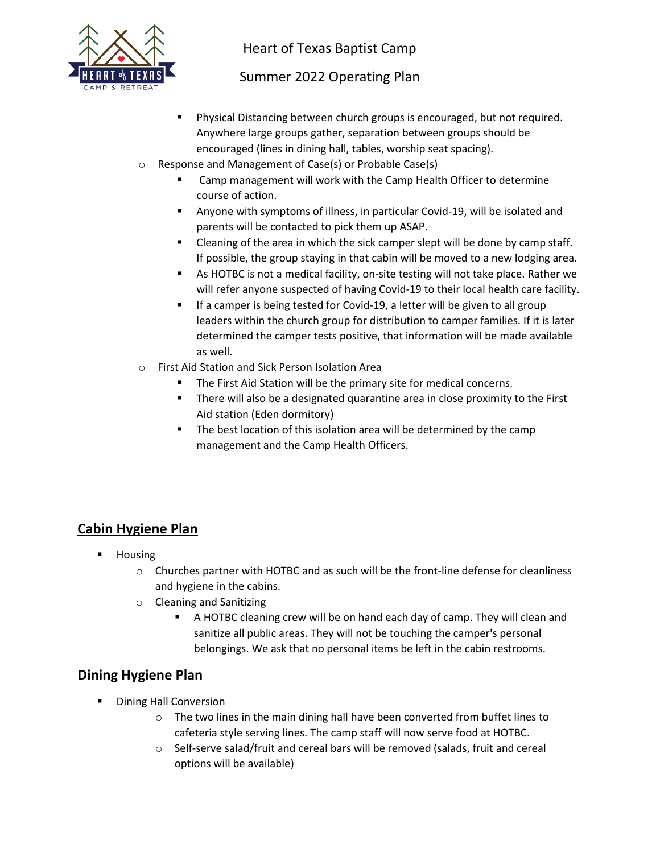

Heart of Texas Baptist Camp

# Summer 2022 Operating Plan

- Physical Distancing between church groups is encouraged, but not required. Anywhere large groups gather, separation between groups should be encouraged (lines in dining hall, tables, worship seat spacing).
- o Response and Management of Case(s) or Probable Case(s)
	- Camp management will work with the Camp Health Officer to determine course of action.
	- Anyone with symptoms of illness, in particular Covid-19, will be isolated and parents will be contacted to pick them up ASAP.
	- Cleaning of the area in which the sick camper slept will be done by camp staff. If possible, the group staying in that cabin will be moved to a new lodging area.
	- As HOTBC is not a medical facility, on-site testing will not take place. Rather we will refer anyone suspected of having Covid-19 to their local health care facility.
	- If a camper is being tested for Covid-19, a letter will be given to all group leaders within the church group for distribution to camper families. If it is later determined the camper tests positive, that information will be made available as well.
- o First Aid Station and Sick Person Isolation Area
	- The First Aid Station will be the primary site for medical concerns.
	- **E** There will also be a designated quarantine area in close proximity to the First Aid station (Eden dormitory)
	- The best location of this isolation area will be determined by the camp management and the Camp Health Officers.

# **Cabin Hygiene Plan**

- Housing
	- $\circ$  Churches partner with HOTBC and as such will be the front-line defense for cleanliness and hygiene in the cabins.
	- o Cleaning and Sanitizing
		- A HOTBC cleaning crew will be on hand each day of camp. They will clean and sanitize all public areas. They will not be touching the camper's personal belongings. We ask that no personal items be left in the cabin restrooms.

#### **Dining Hygiene Plan**

- Dining Hall Conversion
	- o The two lines in the main dining hall have been converted from buffet lines to cafeteria style serving lines. The camp staff will now serve food at HOTBC.
	- o Self-serve salad/fruit and cereal bars will be removed (salads, fruit and cereal options will be available)